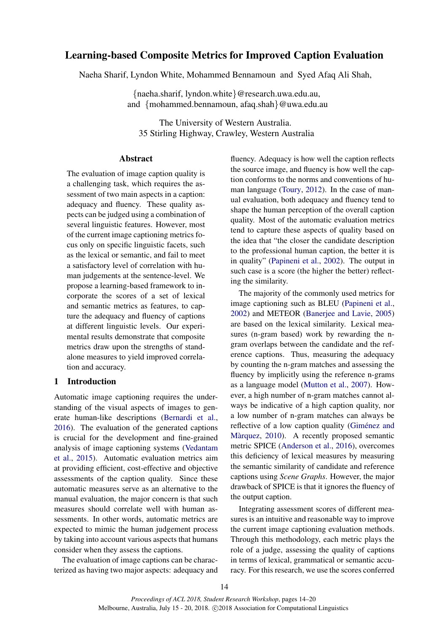# Learning-based Composite Metrics for Improved Caption Evaluation

Naeha Sharif, Lyndon White, Mohammed Bennamoun and Syed Afaq Ali Shah,

{naeha.sharif, lyndon.white}@research.uwa.edu.au, and {mohammed.bennamoun, afaq.shah}@uwa.edu.au

The University of Western Australia. 35 Stirling Highway, Crawley, Western Australia

#### **Abstract**

The evaluation of image caption quality is a challenging task, which requires the assessment of two main aspects in a caption: adequacy and fluency. These quality aspects can be judged using a combination of several linguistic features. However, most of the current image captioning metrics focus only on specific linguistic facets, such as the lexical or semantic, and fail to meet a satisfactory level of correlation with human judgements at the sentence-level. We propose a learning-based framework to incorporate the scores of a set of lexical and semantic metrics as features, to capture the adequacy and fluency of captions at different linguistic levels. Our experimental results demonstrate that composite metrics draw upon the strengths of standalone measures to yield improved correlation and accuracy.

#### 1 Introduction

Automatic image captioning requires the understanding of the visual aspects of images to generate human-like descriptions [\(Bernardi et al.,](#page-5-0) [2016\)](#page-5-0). The evaluation of the generated captions is crucial for the development and fine-grained analysis of image captioning systems [\(Vedantam](#page-6-0) [et al.,](#page-6-0) [2015\)](#page-6-0). Automatic evaluation metrics aim at providing efficient, cost-effective and objective assessments of the caption quality. Since these automatic measures serve as an alternative to the manual evaluation, the major concern is that such measures should correlate well with human assessments. In other words, automatic metrics are expected to mimic the human judgement process by taking into account various aspects that humans consider when they assess the captions.

The evaluation of image captions can be characterized as having two major aspects: adequacy and

fluency. Adequacy is how well the caption reflects the source image, and fluency is how well the caption conforms to the norms and conventions of human language [\(Toury,](#page-6-1) [2012\)](#page-6-1). In the case of manual evaluation, both adequacy and fluency tend to shape the human perception of the overall caption quality. Most of the automatic evaluation metrics tend to capture these aspects of quality based on the idea that "the closer the candidate description to the professional human caption, the better it is in quality" [\(Papineni et al.,](#page-6-2) [2002\)](#page-6-2). The output in such case is a score (the higher the better) reflecting the similarity.

The majority of the commonly used metrics for image captioning such as BLEU [\(Papineni et al.,](#page-6-2) [2002\)](#page-6-2) and METEOR [\(Banerjee and Lavie,](#page-5-1) [2005\)](#page-5-1) are based on the lexical similarity. Lexical measures (n-gram based) work by rewarding the ngram overlaps between the candidate and the reference captions. Thus, measuring the adequacy by counting the n-gram matches and assessing the fluency by implicitly using the reference n-grams as a language model [\(Mutton et al.,](#page-6-3) [2007\)](#page-6-3). However, a high number of n-gram matches cannot always be indicative of a high caption quality, nor a low number of n-gram matches can always be reflective of a low caption quality (Giménez and Màrquez, [2010\)](#page-5-2). A recently proposed semantic metric SPICE [\(Anderson et al.,](#page-5-3) [2016\)](#page-5-3), overcomes this deficiency of lexical measures by measuring the semantic similarity of candidate and reference captions using *Scene Graphs*. However, the major drawback of SPICE is that it ignores the fluency of the output caption.

Integrating assessment scores of different measures is an intuitive and reasonable way to improve the current image captioning evaluation methods. Through this methodology, each metric plays the role of a judge, assessing the quality of captions in terms of lexical, grammatical or semantic accuracy. For this research, we use the scores conferred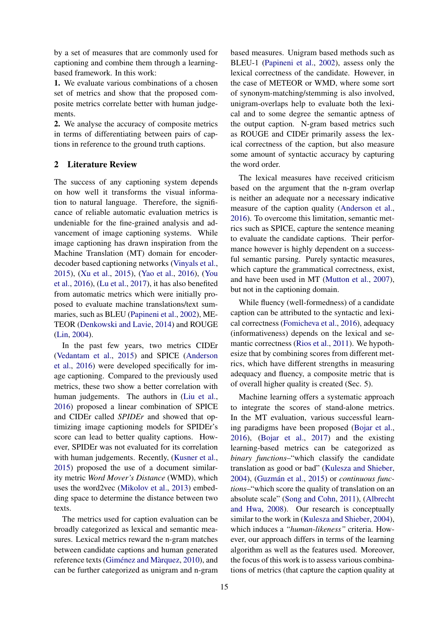by a set of measures that are commonly used for captioning and combine them through a learningbased framework. In this work:

1. We evaluate various combinations of a chosen set of metrics and show that the proposed composite metrics correlate better with human judgements.

2. We analyse the accuracy of composite metrics in terms of differentiating between pairs of captions in reference to the ground truth captions.

## 2 Literature Review

The success of any captioning system depends on how well it transforms the visual information to natural language. Therefore, the significance of reliable automatic evaluation metrics is undeniable for the fine-grained analysis and advancement of image captioning systems. While image captioning has drawn inspiration from the Machine Translation (MT) domain for encoderdecoder based captioning networks [\(Vinyals et al.,](#page-6-4) [2015\)](#page-6-4), [\(Xu et al.,](#page-6-5) [2015\)](#page-6-5), [\(Yao et al.,](#page-6-6) [2016\)](#page-6-6), [\(You](#page-6-7) [et al.,](#page-6-7) [2016\)](#page-6-7), [\(Lu et al.,](#page-6-8) [2017\)](#page-6-8), it has also benefited from automatic metrics which were initially proposed to evaluate machine translations/text summaries, such as BLEU [\(Papineni et al.,](#page-6-2) [2002\)](#page-6-2), ME-TEOR [\(Denkowski and Lavie,](#page-5-4) [2014\)](#page-5-4) and ROUGE [\(Lin,](#page-6-9) [2004\)](#page-6-9).

In the past few years, two metrics CIDEr [\(Vedantam et al.,](#page-6-0) [2015\)](#page-6-0) and SPICE [\(Anderson](#page-5-3) [et al.,](#page-5-3) [2016\)](#page-5-3) were developed specifically for image captioning. Compared to the previously used metrics, these two show a better correlation with human judgements. The authors in [\(Liu et al.,](#page-6-10) [2016\)](#page-6-10) proposed a linear combination of SPICE and CIDEr called *SPIDEr* and showed that optimizing image captioning models for SPIDEr's score can lead to better quality captions. However, SPIDEr was not evaluated for its correlation with human judgements. Recently, [\(Kusner et al.,](#page-6-11) [2015\)](#page-6-11) proposed the use of a document similarity metric *Word Mover's Distance* (WMD), which uses the word2vec [\(Mikolov et al.,](#page-6-12) [2013\)](#page-6-12) embedding space to determine the distance between two texts.

The metrics used for caption evaluation can be broadly categorized as lexical and semantic measures. Lexical metrics reward the n-gram matches between candidate captions and human generated reference texts (Giménez and Màrquez, [2010\)](#page-5-2), and can be further categorized as unigram and n-gram

based measures. Unigram based methods such as BLEU-1 [\(Papineni et al.,](#page-6-2) [2002\)](#page-6-2), assess only the lexical correctness of the candidate. However, in the case of METEOR or WMD, where some sort of synonym-matching/stemming is also involved, unigram-overlaps help to evaluate both the lexical and to some degree the semantic aptness of the output caption. N-gram based metrics such as ROUGE and CIDEr primarily assess the lexical correctness of the caption, but also measure some amount of syntactic accuracy by capturing the word order.

The lexical measures have received criticism based on the argument that the n-gram overlap is neither an adequate nor a necessary indicative measure of the caption quality [\(Anderson et al.,](#page-5-3) [2016\)](#page-5-3). To overcome this limitation, semantic metrics such as SPICE, capture the sentence meaning to evaluate the candidate captions. Their performance however is highly dependent on a successful semantic parsing. Purely syntactic measures, which capture the grammatical correctness, exist, and have been used in MT [\(Mutton et al.,](#page-6-3) [2007\)](#page-6-3), but not in the captioning domain.

While fluency (well-formedness) of a candidate caption can be attributed to the syntactic and lexical correctness [\(Fomicheva et al.,](#page-5-5) [2016\)](#page-5-5), adequacy (informativeness) depends on the lexical and semantic correctness [\(Rios et al.,](#page-6-13) [2011\)](#page-6-13). We hypothesize that by combining scores from different metrics, which have different strengths in measuring adequacy and fluency, a composite metric that is of overall higher quality is created (Sec. 5).

Machine learning offers a systematic approach to integrate the scores of stand-alone metrics. In the MT evaluation, various successful learning paradigms have been proposed [\(Bojar et al.,](#page-5-6) [2016\)](#page-5-6), [\(Bojar et al.,](#page-5-7) [2017\)](#page-5-7) and the existing learning-based metrics can be categorized as *binary functions*–"which classify the candidate translation as good or bad" [\(Kulesza and Shieber,](#page-6-14) [2004\)](#page-6-14), (Guzmán et al., [2015\)](#page-5-8) or *continuous functions*–"which score the quality of translation on an absolute scale" [\(Song and Cohn,](#page-6-15) [2011\)](#page-6-15), [\(Albrecht](#page-5-9) [and Hwa,](#page-5-9) [2008\)](#page-5-9). Our research is conceptually similar to the work in [\(Kulesza and Shieber,](#page-6-14) [2004\)](#page-6-14), which induces a *"human-likeness"* criteria. However, our approach differs in terms of the learning algorithm as well as the features used. Moreover, the focus of this work is to assess various combinations of metrics (that capture the caption quality at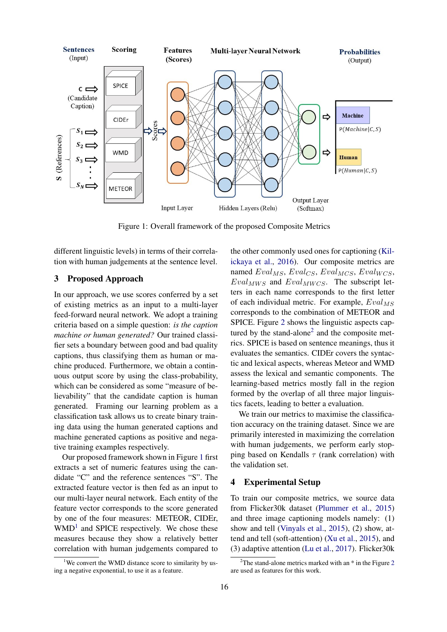

<span id="page-2-0"></span>Figure 1: Overall framework of the proposed Composite Metrics

different linguistic levels) in terms of their correlation with human judgements at the sentence level.

## 3 Proposed Approach

In our approach, we use scores conferred by a set of existing metrics as an input to a multi-layer feed-forward neural network. We adopt a training criteria based on a simple question: *is the caption machine or human generated?* Our trained classifier sets a boundary between good and bad quality captions, thus classifying them as human or machine produced. Furthermore, we obtain a continuous output score by using the class-probability, which can be considered as some "measure of believability" that the candidate caption is human generated. Framing our learning problem as a classification task allows us to create binary training data using the human generated captions and machine generated captions as positive and negative training examples respectively.

Our proposed framework shown in Figure [1](#page-2-0) first extracts a set of numeric features using the candidate "C" and the reference sentences "S". The extracted feature vector is then fed as an input to our multi-layer neural network. Each entity of the feature vector corresponds to the score generated by one of the four measures: METEOR, CIDEr,  $WMD<sup>1</sup>$  $WMD<sup>1</sup>$  $WMD<sup>1</sup>$  and SPICE respectively. We chose these measures because they show a relatively better correlation with human judgements compared to

<span id="page-2-1"></span><sup>1</sup>We convert the WMD distance score to similarity by using a negative exponential, to use it as a feature.

the other commonly used ones for captioning [\(Kil](#page-5-10)[ickaya et al.,](#page-5-10) [2016\)](#page-5-10). Our composite metrics are named  $Eval_{MS}$ ,  $Eval_{CS}$ ,  $Eval_{MCS}$ ,  $Eval_{WCS}$ ,  $Eval_{MWS}$  and  $Eval_{MWCS}$ . The subscript letters in each name corresponds to the first letter of each individual metric. For example,  $Eval_{MS}$ corresponds to the combination of METEOR and SPICE. Figure [2](#page-3-0) shows the linguistic aspects cap-tured by the stand-alone<sup>[2](#page-2-2)</sup> and the composite metrics. SPICE is based on sentence meanings, thus it evaluates the semantics. CIDEr covers the syntactic and lexical aspects, whereas Meteor and WMD assess the lexical and semantic components. The learning-based metrics mostly fall in the region formed by the overlap of all three major linguistics facets, leading to better a evaluation.

We train our metrics to maximise the classification accuracy on the training dataset. Since we are primarily interested in maximizing the correlation with human judgements, we perform early stopping based on Kendalls  $\tau$  (rank correlation) with the validation set.

## 4 Experimental Setup

To train our composite metrics, we source data from Flicker30k dataset [\(Plummer et al.,](#page-6-16) [2015\)](#page-6-16) and three image captioning models namely: (1) show and tell [\(Vinyals et al.,](#page-6-4) [2015\)](#page-6-4), (2) show, attend and tell (soft-attention) [\(Xu et al.,](#page-6-5) [2015\)](#page-6-5), and (3) adaptive attention [\(Lu et al.,](#page-6-8) [2017\)](#page-6-8). Flicker30k

<span id="page-2-2"></span><sup>&</sup>lt;sup>[2](#page-3-0)</sup>The stand-alone metrics marked with an  $*$  in the Figure 2 are used as features for this work.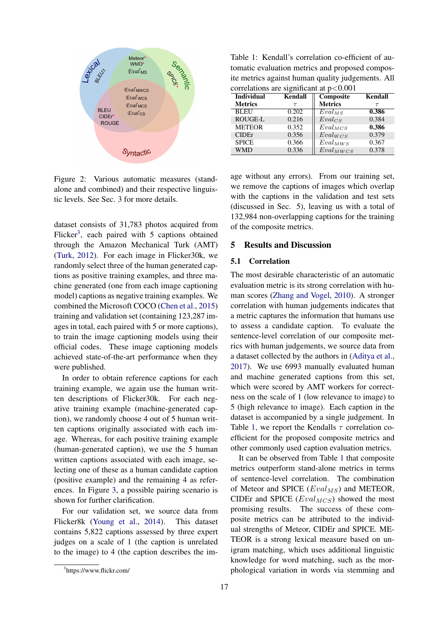

<span id="page-3-0"></span>Figure 2: Various automatic measures (standalone and combined) and their respective linguistic levels. See Sec. 3 for more details.

dataset consists of 31,783 photos acquired from Flicker<sup>[3](#page-3-1)</sup>, each paired with 5 captions obtained through the Amazon Mechanical Turk (AMT) [\(Turk,](#page-6-17) [2012\)](#page-6-17). For each image in Flicker30k, we randomly select three of the human generated captions as positive training examples, and three machine generated (one from each image captioning model) captions as negative training examples. We combined the Microsoft COCO [\(Chen et al.,](#page-5-11) [2015\)](#page-5-11) training and validation set (containing 123,287 images in total, each paired with 5 or more captions), to train the image captioning models using their official codes. These image captioning models achieved state-of-the-art performance when they were published.

In order to obtain reference captions for each training example, we again use the human written descriptions of Flicker30k. For each negative training example (machine-generated caption), we randomly choose 4 out of 5 human written captions originally associated with each image. Whereas, for each positive training example (human-generated caption), we use the 5 human written captions associated with each image, selecting one of these as a human candidate caption (positive example) and the remaining 4 as references. In Figure [3,](#page-4-0) a possible pairing scenario is shown for further clarification.

For our validation set, we source data from Flicker8k [\(Young et al.,](#page-6-18) [2014\)](#page-6-18). This dataset contains 5,822 captions assessed by three expert judges on a scale of 1 (the caption is unrelated to the image) to 4 (the caption describes the im-

<span id="page-3-2"></span>Table 1: Kendall's correlation co-efficient of automatic evaluation metrics and proposed composite metrics against human quality judgements. All correlations are significant at p<0.001

| <b>Individual</b> | <b>Kendall</b> | Composite      | Kendall |  |  |  |  |  |  |
|-------------------|----------------|----------------|---------|--|--|--|--|--|--|
| <b>Metrics</b>    | $\tau$         | <b>Metrics</b> | $\tau$  |  |  |  |  |  |  |
| <b>BLEU</b>       | 0.202          | $Eval_{MS}$    | 0.386   |  |  |  |  |  |  |
| <b>ROUGE-L</b>    | 0.216          | $Eval_{CS}$    | 0.384   |  |  |  |  |  |  |
| <b>METEOR</b>     | 0.352          | $Eval_{MCS}$   | 0.386   |  |  |  |  |  |  |
| CIDEr             | 0.356          | $Eval_{WCS}$   | 0.379   |  |  |  |  |  |  |
| <b>SPICE</b>      | 0.366          | $Eval_{MWS}$   | 0.367   |  |  |  |  |  |  |
| <b>WMD</b>        | 0.336          | $Eval_{MWCS}$  | 0.378   |  |  |  |  |  |  |

age without any errors). From our training set, we remove the captions of images which overlap with the captions in the validation and test sets (discussed in Sec. 5), leaving us with a total of 132,984 non-overlapping captions for the training of the composite metrics.

## 5 Results and Discussion

#### 5.1 Correlation

The most desirable characteristic of an automatic evaluation metric is its strong correlation with human scores [\(Zhang and Vogel,](#page-6-19) [2010\)](#page-6-19). A stronger correlation with human judgements indicates that a metric captures the information that humans use to assess a candidate caption. To evaluate the sentence-level correlation of our composite metrics with human judgements, we source data from a dataset collected by the authors in [\(Aditya et al.,](#page-5-12) [2017\)](#page-5-12). We use 6993 manually evaluated human and machine generated captions from this set, which were scored by AMT workers for correctness on the scale of 1 (low relevance to image) to 5 (high relevance to image). Each caption in the dataset is accompanied by a single judgement. In Table [1,](#page-3-2) we report the Kendalls  $\tau$  correlation coefficient for the proposed composite metrics and other commonly used caption evaluation metrics.

It can be observed from Table [1](#page-3-2) that composite metrics outperform stand-alone metrics in terms of sentence-level correlation. The combination of Meteor and SPICE  $(Eval_{MS})$  and METEOR, CIDEr and SPICE  $(Eval_{MCS})$  showed the most promising results. The success of these composite metrics can be attributed to the individual strengths of Meteor, CIDEr and SPICE. ME-TEOR is a strong lexical measure based on unigram matching, which uses additional linguistic knowledge for word matching, such as the morphological variation in words via stemming and

<span id="page-3-1"></span><sup>3</sup> https://www.flickr.com/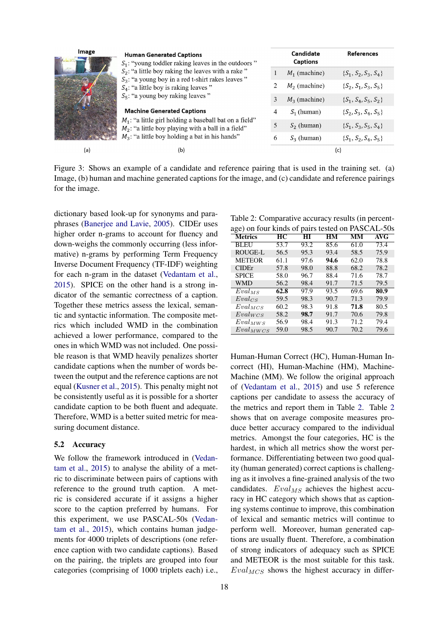| Image | <b>Human Generated Captions</b><br>$S_1$ : "young toddler raking leaves in the outdoors"<br>$S_2$ : "a little boy raking the leaves with a rake"<br>$S_3$ : "a young boy in a red t-shirt rakes leaves"<br>$S_4$ : "a little boy is raking leaves"<br>$S_5$ : "a young boy raking leaves" |   | Candidate<br><b>Captions</b> | <b>References</b>        |  |
|-------|-------------------------------------------------------------------------------------------------------------------------------------------------------------------------------------------------------------------------------------------------------------------------------------------|---|------------------------------|--------------------------|--|
|       |                                                                                                                                                                                                                                                                                           |   | $M_1$ (machine)              | $\{S_1, S_2, S_3, S_4\}$ |  |
|       |                                                                                                                                                                                                                                                                                           |   | $M_2$ (machine)              | $\{S_2, S_1, S_3, S_5\}$ |  |
|       |                                                                                                                                                                                                                                                                                           | 3 | $M_3$ (machine)              | $\{S_1, S_4, S_5, S_2\}$ |  |
|       | <b>Machine Generated Captions</b><br>$M_1$ : "a little girl holding a baseball bat on a field"<br>$M_2$ : "a little boy playing with a ball in a field"<br>$M_3$ : "a little boy holding a bat in his hands"                                                                              |   | $S_1$ (human)                | $\{S_2, S_3, S_4, S_5\}$ |  |
|       |                                                                                                                                                                                                                                                                                           | 5 | $S_2$ (human)                | $\{S_1, S_3, S_5, S_4\}$ |  |
|       |                                                                                                                                                                                                                                                                                           | 6 | $S_3$ (human)                | $\{S_1, S_2, S_4, S_5\}$ |  |
| (a)   | (b)                                                                                                                                                                                                                                                                                       |   | (c)                          |                          |  |

<span id="page-4-0"></span>Figure 3: Shows an example of a candidate and reference pairing that is used in the training set. (a) Image, (b) human and machine generated captions for the image, and (c) candidate and reference pairings for the image.

dictionary based look-up for synonyms and paraphrases [\(Banerjee and Lavie,](#page-5-1) [2005\)](#page-5-1). CIDEr uses higher order n-grams to account for fluency and down-weighs the commonly occurring (less informative) n-grams by performing Term Frequency Inverse Document Frequency (TF-IDF) weighting for each n-gram in the dataset [\(Vedantam et al.,](#page-6-0) [2015\)](#page-6-0). SPICE on the other hand is a strong indicator of the semantic correctness of a caption. Together these metrics assess the lexical, semantic and syntactic information. The composite metrics which included WMD in the combination achieved a lower performance, compared to the ones in which WMD was not included. One possible reason is that WMD heavily penalizes shorter candidate captions when the number of words between the output and the reference captions are not equal [\(Kusner et al.,](#page-6-11) [2015\)](#page-6-11). This penalty might not be consistently useful as it is possible for a shorter candidate caption to be both fluent and adequate. Therefore, WMD is a better suited metric for measuring document distance.

#### 5.2 Accuracy

We follow the framework introduced in [\(Vedan](#page-6-0)[tam et al.,](#page-6-0) [2015\)](#page-6-0) to analyse the ability of a metric to discriminate between pairs of captions with reference to the ground truth caption. A metric is considered accurate if it assigns a higher score to the caption preferred by humans. For this experiment, we use PASCAL-50s [\(Vedan](#page-6-0)[tam et al.,](#page-6-0) [2015\)](#page-6-0), which contains human judgements for 4000 triplets of descriptions (one reference caption with two candidate captions). Based on the pairing, the triplets are grouped into four categories (comprising of 1000 triplets each) i.e.,

<span id="page-4-1"></span>Table 2: Comparative accuracy results (in percent-

| age) on four kinds of pairs tested on PASCAL-50s |                 |      |           |      |            |
|--------------------------------------------------|-----------------|------|-----------|------|------------|
| <b>Metrics</b>                                   | $\overline{HC}$ | HІ   | <b>HM</b> | MМ   | <b>AVG</b> |
| <b>BLEU</b>                                      | 53.7            | 93.2 | 85.6      | 61.0 | 73.4       |
| <b>ROUGE-L</b>                                   | 56.5            | 95.3 | 93.4      | 58.5 | 75.9       |
| <b>METEOR</b>                                    | 61.1            | 97.6 | 94.6      | 62.0 | 78.8       |
| <b>CIDE</b> r                                    | 57.8            | 98.0 | 88.8      | 68.2 | 78.2       |
| <b>SPICE</b>                                     | 58.0            | 96.7 | 88.4      | 71.6 | 78.7       |
| <b>WMD</b>                                       | 56.2            | 98.4 | 91.7      | 71.5 | 79.5       |
| $Eval_{MS}$                                      | 62.8            | 97.9 | 93.5      | 69.6 | 80.9       |
| $Eval_{CS}$                                      | 59.5            | 98.3 | 90.7      | 71.3 | 79.9       |
| $Eval_{MCS}$                                     | 60.2            | 98.3 | 91.8      | 71.8 | 80.5       |
| $Eval_{WCS}$                                     | 58.2            | 98.7 | 91.7      | 70.6 | 79.8       |
| $Eval_{MWS}$                                     | 56.9            | 98.4 | 91.3      | 71.2 | 79.4       |
| $Eval_{MWCS}$                                    | 59.0            | 98.5 | 90.7      | 70.2 | 79.6       |

Human-Human Correct (HC), Human-Human Incorrect (HI), Human-Machine (HM), Machine-Machine (MM). We follow the original approach of [\(Vedantam et al.,](#page-6-0) [2015\)](#page-6-0) and use 5 reference captions per candidate to assess the accuracy of the metrics and report them in Table [2.](#page-4-1) Table [2](#page-4-1) shows that on average composite measures produce better accuracy compared to the individual metrics. Amongst the four categories, HC is the hardest, in which all metrics show the worst performance. Differentiating between two good quality (human generated) correct captions is challenging as it involves a fine-grained analysis of the two candidates.  $Eval_{MS}$  achieves the highest accuracy in HC category which shows that as captioning systems continue to improve, this combination of lexical and semantic metrics will continue to perform well. Moreover, human generated captions are usually fluent. Therefore, a combination of strong indicators of adequacy such as SPICE and METEOR is the most suitable for this task.  $Eval_{MCS}$  shows the highest accuracy in differ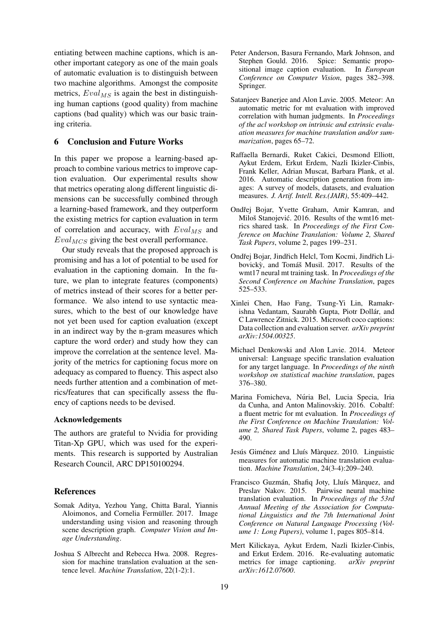entiating between machine captions, which is another important category as one of the main goals of automatic evaluation is to distinguish between two machine algorithms. Amongst the composite metrics,  $Eval_{MS}$  is again the best in distinguishing human captions (good quality) from machine captions (bad quality) which was our basic training criteria.

## 6 Conclusion and Future Works

In this paper we propose a learning-based approach to combine various metrics to improve caption evaluation. Our experimental results show that metrics operating along different linguistic dimensions can be successfully combined through a learning-based framework, and they outperform the existing metrics for caption evaluation in term of correlation and accuracy, with  $Eval_{MS}$  and  $Eval_{MCS}$  giving the best overall performance.

Our study reveals that the proposed approach is promising and has a lot of potential to be used for evaluation in the captioning domain. In the future, we plan to integrate features (components) of metrics instead of their scores for a better performance. We also intend to use syntactic measures, which to the best of our knowledge have not yet been used for caption evaluation (except in an indirect way by the n-gram measures which capture the word order) and study how they can improve the correlation at the sentence level. Majority of the metrics for captioning focus more on adequacy as compared to fluency. This aspect also needs further attention and a combination of metrics/features that can specifically assess the fluency of captions needs to be devised.

#### Acknowledgements

The authors are grateful to Nvidia for providing Titan-Xp GPU, which was used for the experiments. This research is supported by Australian Research Council, ARC DP150100294.

#### References

- <span id="page-5-12"></span>Somak Aditya, Yezhou Yang, Chitta Baral, Yiannis Aloimonos, and Cornelia Fermüller. 2017. Image understanding using vision and reasoning through scene description graph. *Computer Vision and Image Understanding*.
- <span id="page-5-9"></span>Joshua S Albrecht and Rebecca Hwa. 2008. Regression for machine translation evaluation at the sentence level. *Machine Translation*, 22(1-2):1.
- <span id="page-5-3"></span>Peter Anderson, Basura Fernando, Mark Johnson, and Stephen Gould. 2016. Spice: Semantic propositional image caption evaluation. In *European Conference on Computer Vision*, pages 382–398. Springer.
- <span id="page-5-1"></span>Satanjeev Banerjee and Alon Lavie. 2005. Meteor: An automatic metric for mt evaluation with improved correlation with human judgments. In *Proceedings of the acl workshop on intrinsic and extrinsic evaluation measures for machine translation and/or summarization*, pages 65–72.
- <span id="page-5-0"></span>Raffaella Bernardi, Ruket Cakici, Desmond Elliott, Aykut Erdem, Erkut Erdem, Nazli Ikizler-Cinbis, Frank Keller, Adrian Muscat, Barbara Plank, et al. 2016. Automatic description generation from images: A survey of models, datasets, and evaluation measures. *J. Artif. Intell. Res.(JAIR)*, 55:409–442.
- <span id="page-5-6"></span>Ondřej Bojar, Yvette Graham, Amir Kamran, and Miloš Stanojević. 2016. Results of the wmt16 metrics shared task. In *Proceedings of the First Conference on Machine Translation: Volume 2, Shared Task Papers*, volume 2, pages 199–231.
- <span id="page-5-7"></span>Ondřej Bojar, Jindřich Helcl, Tom Kocmi, Jindřich Libovický, and Tomáš Musil. 2017. Results of the wmt17 neural mt training task. In *Proceedings of the Second Conference on Machine Translation*, pages 525–533.
- <span id="page-5-11"></span>Xinlei Chen, Hao Fang, Tsung-Yi Lin, Ramakrishna Vedantam, Saurabh Gupta, Piotr Dollár, and C Lawrence Zitnick. 2015. Microsoft coco captions: Data collection and evaluation server. *arXiv preprint arXiv:1504.00325*.
- <span id="page-5-4"></span>Michael Denkowski and Alon Lavie. 2014. Meteor universal: Language specific translation evaluation for any target language. In *Proceedings of the ninth workshop on statistical machine translation*, pages 376–380.
- <span id="page-5-5"></span>Marina Fomicheva, Núria Bel, Lucia Specia, Iria da Cunha, and Anton Malinovskiy. 2016. Cobaltf: a fluent metric for mt evaluation. In *Proceedings of the First Conference on Machine Translation: Volume 2, Shared Task Papers*, volume 2, pages 483– 490.
- <span id="page-5-2"></span>Jesús Giménez and Lluís Màrquez. 2010. Linguistic measures for automatic machine translation evaluation. *Machine Translation*, 24(3-4):209–240.
- <span id="page-5-8"></span>Francisco Guzmán, Shafiq Joty, Lluís Màrquez, and Preslav Nakov. 2015. Pairwise neural machine translation evaluation. In *Proceedings of the 53rd Annual Meeting of the Association for Computational Linguistics and the 7th International Joint Conference on Natural Language Processing (Volume 1: Long Papers)*, volume 1, pages 805–814.
- <span id="page-5-10"></span>Mert Kilickaya, Aykut Erdem, Nazli Ikizler-Cinbis, and Erkut Erdem. 2016. Re-evaluating automatic metrics for image captioning. *arXiv preprint arXiv:1612.07600*.